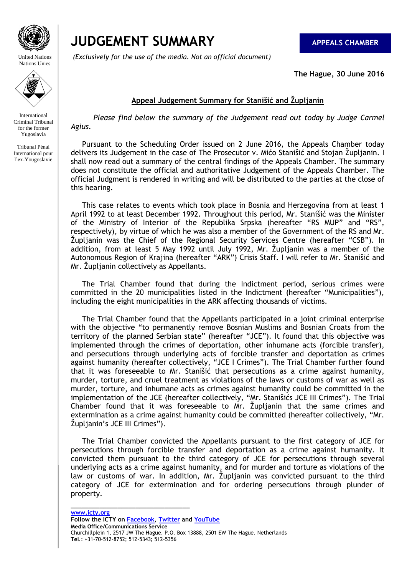

# **JUDGEMENT SUMMARY** APPEALS CHAMBER

*(Exclusively for the use of the media. Not an official document)*

**The Hague, 30 June 2016** 

# **Appeal Judgement Summary for Stanišić and Župljanin**

 *Please find below the summary of the Judgement read out today by Judge Carmel Agius.*

 Pursuant to the Scheduling Order issued on 2 June 2016, the Appeals Chamber today delivers its Judgement in the case of The Prosecutor v. Mićo Stanišić and Stojan Župljanin. I shall now read out a summary of the central findings of the Appeals Chamber. The summary does not constitute the official and authoritative Judgement of the Appeals Chamber. The official Judgment is rendered in writing and will be distributed to the parties at the close of this hearing.

 This case relates to events which took place in Bosnia and Herzegovina from at least 1 April 1992 to at least December 1992. Throughout this period, Mr. Stanišić was the Minister of the Ministry of Interior of the Republika Srpska (hereafter "RS MUP" and "RS", respectively), by virtue of which he was also a member of the Government of the RS and Mr. Ţupljanin was the Chief of the Regional Security Services Centre (hereafter "CSB"). In addition, from at least 5 May 1992 until July 1992, Mr. Župljanin was a member of the Autonomous Region of Krajina (hereafter "ARK") Crisis Staff. I will refer to Mr. Stanišić and Mr. Župljanin collectively as Appellants.

 The Trial Chamber found that during the Indictment period, serious crimes were committed in the 20 municipalities listed in the Indictment (hereafter "Municipalities"), including the eight municipalities in the ARK affecting thousands of victims.

 The Trial Chamber found that the Appellants participated in a joint criminal enterprise with the objective "to permanently remove Bosnian Muslims and Bosnian Croats from the territory of the planned Serbian state" (hereafter "JCE"). It found that this objective was implemented through the crimes of deportation, other inhumane acts (forcible transfer), and persecutions through underlying acts of forcible transfer and deportation as crimes against humanity (hereafter collectively, "JCE I Crimes"). The Trial Chamber further found that it was foreseeable to Mr. Stanišić that persecutions as a crime against humanity, murder, torture, and cruel treatment as violations of the laws or customs of war as well as murder, torture, and inhumane acts as crimes against humanity could be committed in the implementation of the JCE (hereafter collectively, "Mr. Stanišićs JCE III Crimes"). The Trial Chamber found that it was foreseeable to Mr. Župljanin that the same crimes and extermination as a crime against humanity could be committed (hereafter collectively, "Mr. Župljanin's JCE III Crimes").

 The Trial Chamber convicted the Appellants pursuant to the first category of JCE for persecutions through forcible transfer and deportation as a crime against humanity. It convicted them pursuant to the third category of JCE for persecutions through several underlying acts as a crime against humanity, and for murder and torture as violations of the law or customs of war. In addition, Mr. Župljanin was convicted pursuant to the third category of JCE for extermination and for ordering persecutions through plunder of property.

**\_\_\_\_\_\_\_\_\_\_\_\_\_\_\_\_\_\_\_\_\_\_\_\_\_\_\_\_\_\_\_\_\_**

United Nations Nations Unies



International Criminal Tribunal for the former Yugoslavia

Tribunal Pénal International pour l'ex-Yougoslavie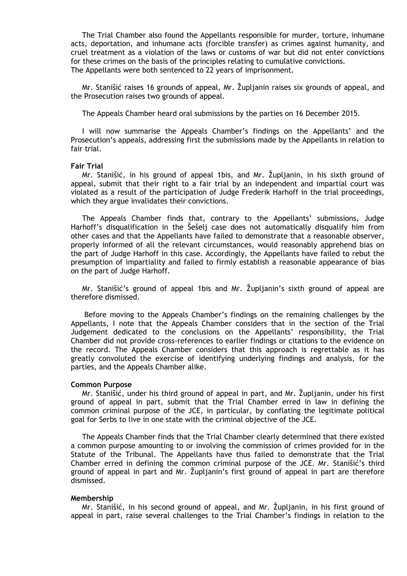The Trial Chamber also found the Appellants responsible for murder, torture, inhumane acts, deportation, and inhumane acts (forcible transfer) as crimes against humanity, and cruel treatment as a violation of the laws or customs of war but did not enter convictions for these crimes on the basis of the principles relating to cumulative convictions. The Appellants were both sentenced to 22 years of imprisonment.

Mr. Stanišić raises 16 grounds of appeal, Mr. Župljanin raises six grounds of appeal, and the Prosecution raises two grounds of appeal.

The Appeals Chamber heard oral submissions by the parties on 16 December 2015.

 I will now summarise the Appeals Chamber's findings on the Appellants' and the Prosecution's appeals, addressing first the submissions made by the Appellants in relation to fair trial.

#### **Fair Trial**

Mr. Stanišić, in his ground of appeal 1bis, and Mr. Župljanin, in his sixth ground of appeal, submit that their right to a fair trial by an independent and impartial court was violated as a result of the participation of Judge Frederik Harhoff in the trial proceedings, which they argue invalidates their convictions.

 The Appeals Chamber finds that, contrary to the Appellants' submissions, Judge Harhoff's disqualification in the Šešelj case does not automatically disqualify him from other cases and that the Appellants have failed to demonstrate that a reasonable observer, properly informed of all the relevant circumstances, would reasonably apprehend bias on the part of Judge Harhoff in this case. Accordingly, the Appellants have failed to rebut the presumption of impartiality and failed to firmly establish a reasonable appearance of bias on the part of Judge Harhoff.

Mr. Stanišić's ground of appeal 1bis and Mr. Župljanin's sixth ground of appeal are therefore dismissed.

 Before moving to the Appeals Chamber's findings on the remaining challenges by the Appellants, I note that the Appeals Chamber considers that in the section of the Trial Judgement dedicated to the conclusions on the Appellants' responsibility, the Trial Chamber did not provide cross-references to earlier findings or citations to the evidence on the record. The Appeals Chamber considers that this approach is regrettable as it has greatly convoluted the exercise of identifying underlying findings and analysis, for the parties, and the Appeals Chamber alike.

### **Common Purpose**

Mr. Stanišić, under his third ground of appeal in part, and Mr. Župljanin, under his first ground of appeal in part, submit that the Trial Chamber erred in law in defining the common criminal purpose of the JCE, in particular, by conflating the legitimate political goal for Serbs to live in one state with the criminal objective of the JCE.

 The Appeals Chamber finds that the Trial Chamber clearly determined that there existed a common purpose amounting to or involving the commission of crimes provided for in the Statute of the Tribunal. The Appellants have thus failed to demonstrate that the Trial Chamber erred in defining the common criminal purpose of the JCE. Mr. Stanišić's third ground of appeal in part and Mr. Župlianin's first ground of appeal in part are therefore dismissed.

#### **Membership**

Mr. Stanišić, in his second ground of appeal, and Mr. Župljanin, in his first ground of appeal in part, raise several challenges to the Trial Chamber's findings in relation to the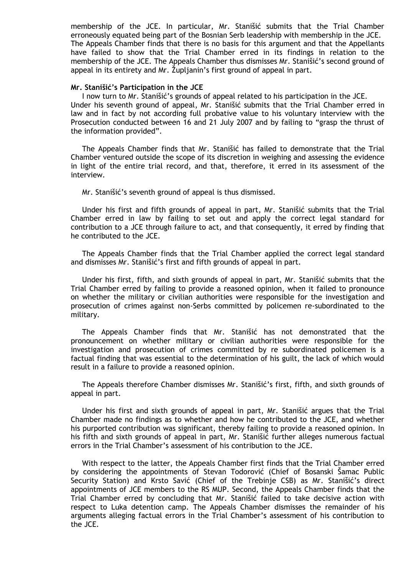membership of the JCE. In particular, Mr. Stanišić submits that the Trial Chamber erroneously equated being part of the Bosnian Serb leadership with membership in the JCE. The Appeals Chamber finds that there is no basis for this argument and that the Appellants have failed to show that the Trial Chamber erred in its findings in relation to the membership of the JCE. The Appeals Chamber thus dismisses Mr. Stanišić's second ground of appeal in its entirety and Mr. Zupljanin's first ground of appeal in part.

#### **Mr. Stanišić's Participation in the JCE**

 I now turn to Mr. Stanišić's grounds of appeal related to his participation in the JCE. Under his seventh ground of appeal, Mr. Stanišić submits that the Trial Chamber erred in law and in fact by not according full probative value to his voluntary interview with the Prosecution conducted between 16 and 21 July 2007 and by failing to "grasp the thrust of the information provided".

 The Appeals Chamber finds that Mr. Stanišić has failed to demonstrate that the Trial Chamber ventured outside the scope of its discretion in weighing and assessing the evidence in light of the entire trial record, and that, therefore, it erred in its assessment of the interview.

Mr. Stanišić's seventh ground of appeal is thus dismissed.

 Under his first and fifth grounds of appeal in part, Mr. Stanišić submits that the Trial Chamber erred in law by failing to set out and apply the correct legal standard for contribution to a JCE through failure to act, and that consequently, it erred by finding that he contributed to the JCE.

 The Appeals Chamber finds that the Trial Chamber applied the correct legal standard and dismisses Mr. Stanišić's first and fifth grounds of appeal in part.

 Under his first, fifth, and sixth grounds of appeal in part, Mr. Stanišić submits that the Trial Chamber erred by failing to provide a reasoned opinion, when it failed to pronounce on whether the military or civilian authorities were responsible for the investigation and prosecution of crimes against non-Serbs committed by policemen re-subordinated to the military.

 The Appeals Chamber finds that Mr. Stanišić has not demonstrated that the pronouncement on whether military or civilian authorities were responsible for the investigation and prosecution of crimes committed by re subordinated policemen is a factual finding that was essential to the determination of his guilt, the lack of which would result in a failure to provide a reasoned opinion.

 The Appeals therefore Chamber dismisses Mr. Stanišić's first, fifth, and sixth grounds of appeal in part.

 Under his first and sixth grounds of appeal in part, Mr. Stanišić argues that the Trial Chamber made no findings as to whether and how he contributed to the JCE, and whether his purported contribution was significant, thereby failing to provide a reasoned opinion. In his fifth and sixth grounds of appeal in part, Mr. Stanišić further alleges numerous factual errors in the Trial Chamber's assessment of his contribution to the JCE.

 With respect to the latter, the Appeals Chamber first finds that the Trial Chamber erred by considering the appointments of Stevan Todorović (Chief of Bosanski Šamac Public Security Station) and Krsto Savić (Chief of the Trebinje CSB) as Mr. Stanišić's direct appointments of JCE members to the RS MUP. Second, the Appeals Chamber finds that the Trial Chamber erred by concluding that Mr. Stanišić failed to take decisive action with respect to Luka detention camp. The Appeals Chamber dismisses the remainder of his arguments alleging factual errors in the Trial Chamber's assessment of his contribution to the JCE.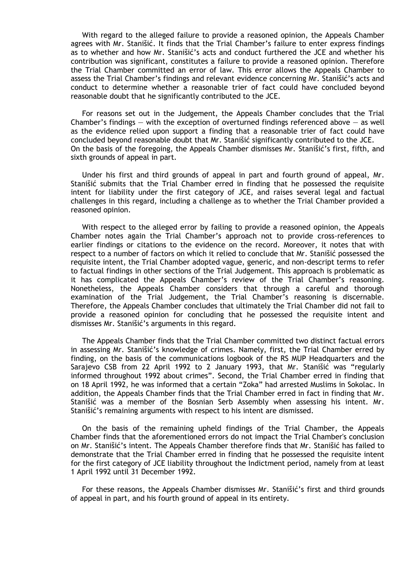With regard to the alleged failure to provide a reasoned opinion, the Appeals Chamber agrees with Mr. Stanišić. It finds that the Trial Chamber's failure to enter express findings as to whether and how Mr. Stanišić's acts and conduct furthered the JCE and whether his contribution was significant, constitutes a failure to provide a reasoned opinion. Therefore the Trial Chamber committed an error of law. This error allows the Appeals Chamber to assess the Trial Chamber's findings and relevant evidence concerning Mr. Stanišić's acts and conduct to determine whether a reasonable trier of fact could have concluded beyond reasonable doubt that he significantly contributed to the JCE.

 For reasons set out in the Judgement, the Appeals Chamber concludes that the Trial Chamber's findings  $-$  with the exception of overturned findings referenced above  $-$  as well as the evidence relied upon support a finding that a reasonable trier of fact could have concluded beyond reasonable doubt that Mr. Stanišić significantly contributed to the JCE. On the basis of the foregoing, the Appeals Chamber dismisses Mr. Stanišić's first, fifth, and sixth grounds of appeal in part.

 Under his first and third grounds of appeal in part and fourth ground of appeal, Mr. Stanišić submits that the Trial Chamber erred in finding that he possessed the requisite intent for liability under the first category of JCE, and raises several legal and factual challenges in this regard, including a challenge as to whether the Trial Chamber provided a reasoned opinion.

 With respect to the alleged error by failing to provide a reasoned opinion, the Appeals Chamber notes again the Trial Chamber's approach not to provide cross-references to earlier findings or citations to the evidence on the record. Moreover, it notes that with respect to a number of factors on which it relied to conclude that Mr. Stanišić possessed the requisite intent, the Trial Chamber adopted vague, generic, and non-descript terms to refer to factual findings in other sections of the Trial Judgement. This approach is problematic as it has complicated the Appeals Chamber's review of the Trial Chamber's reasoning. Nonetheless, the Appeals Chamber considers that through a careful and thorough examination of the Trial Judgement, the Trial Chamber's reasoning is discernable. Therefore, the Appeals Chamber concludes that ultimately the Trial Chamber did not fail to provide a reasoned opinion for concluding that he possessed the requisite intent and dismisses Mr. Stanišić's arguments in this regard.

 The Appeals Chamber finds that the Trial Chamber committed two distinct factual errors in assessing Mr. Stanišić's knowledge of crimes. Namely, first, the Trial Chamber erred by finding, on the basis of the communications logbook of the RS MUP Headquarters and the Sarajevo CSB from 22 April 1992 to 2 January 1993, that Mr. Stanišić was "regularly informed throughout 1992 about crimes". Second, the Trial Chamber erred in finding that on 18 April 1992, he was informed that a certain "Zoka" had arrested Muslims in Sokolac. In addition, the Appeals Chamber finds that the Trial Chamber erred in fact in finding that Mr. Stanišić was a member of the Bosnian Serb Assembly when assessing his intent. Mr. Stanišić's remaining arguments with respect to his intent are dismissed.

 On the basis of the remaining upheld findings of the Trial Chamber, the Appeals Chamber finds that the aforementioned errors do not impact the Trial Chamber's conclusion on Mr. Stanišić's intent. The Appeals Chamber therefore finds that Mr. Stanišić has failed to demonstrate that the Trial Chamber erred in finding that he possessed the requisite intent for the first category of JCE liability throughout the Indictment period, namely from at least 1 April 1992 until 31 December 1992.

 For these reasons, the Appeals Chamber dismisses Mr. Stanišić's first and third grounds of appeal in part, and his fourth ground of appeal in its entirety.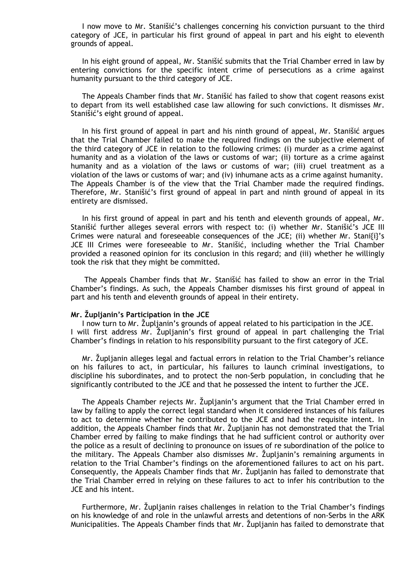I now move to Mr. Stanišić's challenges concerning his conviction pursuant to the third category of JCE, in particular his first ground of appeal in part and his eight to eleventh grounds of appeal.

 In his eight ground of appeal, Mr. Stanišić submits that the Trial Chamber erred in law by entering convictions for the specific intent crime of persecutions as a crime against humanity pursuant to the third category of JCE.

 The Appeals Chamber finds that Mr. Stanišić has failed to show that cogent reasons exist to depart from its well established case law allowing for such convictions. It dismisses Mr. Stanišić's eight ground of appeal.

 In his first ground of appeal in part and his ninth ground of appeal, Mr. Stanišić argues that the Trial Chamber failed to make the required findings on the subjective element of the third category of JCE in relation to the following crimes: (i) murder as a crime against humanity and as a violation of the laws or customs of war; (ii) torture as a crime against humanity and as a violation of the laws or customs of war; (iii) cruel treatment as a violation of the laws or customs of war; and (iv) inhumane acts as a crime against humanity. The Appeals Chamber is of the view that the Trial Chamber made the required findings. Therefore, Mr. Stanišić's first ground of appeal in part and ninth ground of appeal in its entirety are dismissed.

 In his first ground of appeal in part and his tenth and eleventh grounds of appeal, Mr. Stanišić further alleges several errors with respect to: (i) whether Mr. Stanišić's JCE III Crimes were natural and foreseeable consequences of the JCE; (ii) whether Mr. Stani{i}'s JCE III Crimes were foreseeable to Mr. Stanišić, including whether the Trial Chamber provided a reasoned opinion for its conclusion in this regard; and (iii) whether he willingly took the risk that they might be committed.

 The Appeals Chamber finds that Mr. Stanišić has failed to show an error in the Trial Chamber's findings. As such, the Appeals Chamber dismisses his first ground of appeal in part and his tenth and eleventh grounds of appeal in their entirety.

#### **Mr. Župljanin's Participation in the JCE**

I now turn to Mr. Župljanin's grounds of appeal related to his participation in the JCE. I will first address Mr. Župljanin's first ground of appeal in part challenging the Trial Chamber's findings in relation to his responsibility pursuant to the first category of JCE.

Mr. Župljanin alleges legal and factual errors in relation to the Trial Chamber's reliance on his failures to act, in particular, his failures to launch criminal investigations, to discipline his subordinates, and to protect the non-Serb population, in concluding that he significantly contributed to the JCE and that he possessed the intent to further the JCE.

The Appeals Chamber rejects Mr. Župljanin's argument that the Trial Chamber erred in law by failing to apply the correct legal standard when it considered instances of his failures to act to determine whether he contributed to the JCE and had the requisite intent. In addition, the Appeals Chamber finds that Mr. Zupljanin has not demonstrated that the Trial Chamber erred by failing to make findings that he had sufficient control or authority over the police as a result of declining to pronounce on issues of re subordination of the police to the military. The Appeals Chamber also dismisses Mr. Župljanin's remaining arguments in relation to the Trial Chamber's findings on the aforementioned failures to act on his part. Consequently, the Appeals Chamber finds that Mr. Župlianin has failed to demonstrate that the Trial Chamber erred in relying on these failures to act to infer his contribution to the JCE and his intent.

Furthermore, Mr. Župljanin raises challenges in relation to the Trial Chamber's findings on his knowledge of and role in the unlawful arrests and detentions of non-Serbs in the ARK Municipalities. The Appeals Chamber finds that Mr. Župljanin has failed to demonstrate that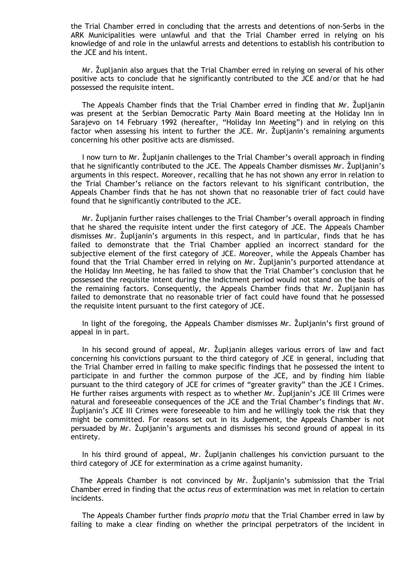the Trial Chamber erred in concluding that the arrests and detentions of non-Serbs in the ARK Municipalities were unlawful and that the Trial Chamber erred in relying on his knowledge of and role in the unlawful arrests and detentions to establish his contribution to the JCE and his intent.

Mr. Zupljanin also argues that the Trial Chamber erred in relying on several of his other positive acts to conclude that he significantly contributed to the JCE and/or that he had possessed the requisite intent.

The Appeals Chamber finds that the Trial Chamber erred in finding that Mr. Župljanin was present at the Serbian Democratic Party Main Board meeting at the Holiday Inn in Sarajevo on 14 February 1992 (hereafter, "Holiday Inn Meeting") and in relying on this factor when assessing his intent to further the JCE. Mr. Župljanin's remaining arguments concerning his other positive acts are dismissed.

I now turn to Mr. Župljanin challenges to the Trial Chamber's overall approach in finding that he significantly contributed to the JCE. The Appeals Chamber dismisses Mr. Župljanin's arguments in this respect. Moreover, recalling that he has not shown any error in relation to the Trial Chamber's reliance on the factors relevant to his significant contribution, the Appeals Chamber finds that he has not shown that no reasonable trier of fact could have found that he significantly contributed to the JCE.

Mr. Župljanin further raises challenges to the Trial Chamber's overall approach in finding that he shared the requisite intent under the first category of JCE. The Appeals Chamber dismisses Mr. Župljanin's arguments in this respect, and in particular, finds that he has failed to demonstrate that the Trial Chamber applied an incorrect standard for the subjective element of the first category of JCE. Moreover, while the Appeals Chamber has found that the Trial Chamber erred in relying on Mr. Župljanin's purported attendance at the Holiday Inn Meeting, he has failed to show that the Trial Chamber's conclusion that he possessed the requisite intent during the Indictment period would not stand on the basis of the remaining factors. Consequently, the Appeals Chamber finds that Mr. Župljanin has failed to demonstrate that no reasonable trier of fact could have found that he possessed the requisite intent pursuant to the first category of JCE.

In light of the foregoing, the Appeals Chamber dismisses Mr. Župljanin's first ground of appeal in in part.

In his second ground of appeal, Mr. Župljanin alleges various errors of law and fact concerning his convictions pursuant to the third category of JCE in general, including that the Trial Chamber erred in failing to make specific findings that he possessed the intent to participate in and further the common purpose of the JCE, and by finding him liable pursuant to the third category of JCE for crimes of "greater gravity" than the JCE I Crimes. He further raises arguments with respect as to whether Mr. Župljanin's JCE III Crimes were natural and foreseeable consequences of the JCE and the Trial Chamber's findings that Mr. Ţupljanin's JCE III Crimes were foreseeable to him and he willingly took the risk that they might be committed. For reasons set out in its Judgement, the Appeals Chamber is not persuaded by Mr. Zupljanin's arguments and dismisses his second ground of appeal in its entirety.

In his third ground of appeal, Mr. Župljanin challenges his conviction pursuant to the third category of JCE for extermination as a crime against humanity.

The Appeals Chamber is not convinced by Mr. Župljanin's submission that the Trial Chamber erred in finding that the *actus reus* of extermination was met in relation to certain incidents.

 The Appeals Chamber further finds *proprio motu* that the Trial Chamber erred in law by failing to make a clear finding on whether the principal perpetrators of the incident in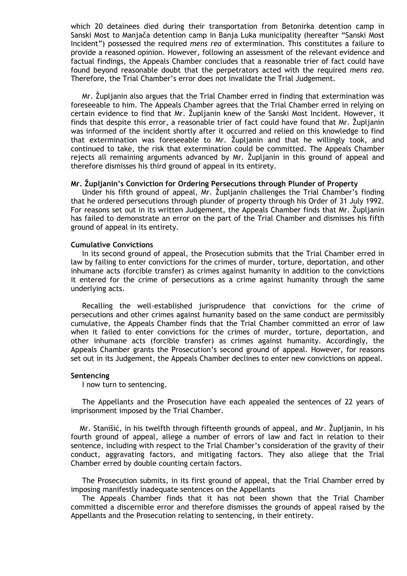which 20 detainees died during their transportation from Betonirka detention camp in Sanski Most to Manjača detention camp in Banja Luka municipality (hereafter "Sanski Most Incident") possessed the required *mens rea* of extermination. This constitutes a failure to provide a reasoned opinion. However, following an assessment of the relevant evidence and factual findings, the Appeals Chamber concludes that a reasonable trier of fact could have found beyond reasonable doubt that the perpetrators acted with the required *mens rea*. Therefore, the Trial Chamber's error does not invalidate the Trial Judgement.

Mr. Župljanin also argues that the Trial Chamber erred in finding that extermination was foreseeable to him. The Appeals Chamber agrees that the Trial Chamber erred in relying on certain evidence to find that Mr. Župljanin knew of the Sanski Most Incident. However, it finds that despite this error, a reasonable trier of fact could have found that Mr. Zupljanin was informed of the incident shortly after it occurred and relied on this knowledge to find that extermination was foreseeable to Mr. Župljanin and that he willingly took, and continued to take, the risk that extermination could be committed. The Appeals Chamber rejects all remaining arguments advanced by Mr. Župljanin in this ground of appeal and therefore dismisses his third ground of appeal in its entirety.

#### **Mr. Župljanin's Conviction for Ordering Persecutions through Plunder of Property**

Under his fifth ground of appeal, Mr. Župljanin challenges the Trial Chamber's finding that he ordered persecutions through plunder of property through his Order of 31 July 1992. For reasons set out in its written Judgement, the Appeals Chamber finds that Mr. Župljanin has failed to demonstrate an error on the part of the Trial Chamber and dismisses his fifth ground of appeal in its entirety.

#### **Cumulative Convictions**

 In its second ground of appeal, the Prosecution submits that the Trial Chamber erred in law by failing to enter convictions for the crimes of murder, torture, deportation, and other inhumane acts (forcible transfer) as crimes against humanity in addition to the convictions it entered for the crime of persecutions as a crime against humanity through the same underlying acts.

 Recalling the well-established jurisprudence that convictions for the crime of persecutions and other crimes against humanity based on the same conduct are permissibly cumulative, the Appeals Chamber finds that the Trial Chamber committed an error of law when it failed to enter convictions for the crimes of murder, torture, deportation, and other inhumane acts (forcible transfer) as crimes against humanity. Accordingly, the Appeals Chamber grants the Prosecution's second ground of appeal. However, for reasons set out in its Judgement, the Appeals Chamber declines to enter new convictions on appeal.

#### **Sentencing**

I now turn to sentencing.

 The Appellants and the Prosecution have each appealed the sentences of 22 years of imprisonment imposed by the Trial Chamber.

Mr. Stanišić, in his twelfth through fifteenth grounds of appeal, and Mr. Župljanin, in his fourth ground of appeal, allege a number of errors of law and fact in relation to their sentence, including with respect to the Trial Chamber's consideration of the gravity of their conduct, aggravating factors, and mitigating factors. They also allege that the Trial Chamber erred by double counting certain factors.

 The Prosecution submits, in its first ground of appeal, that the Trial Chamber erred by imposing manifestly inadequate sentences on the Appellants

 The Appeals Chamber finds that it has not been shown that the Trial Chamber committed a discernible error and therefore dismisses the grounds of appeal raised by the Appellants and the Prosecution relating to sentencing, in their entirety.